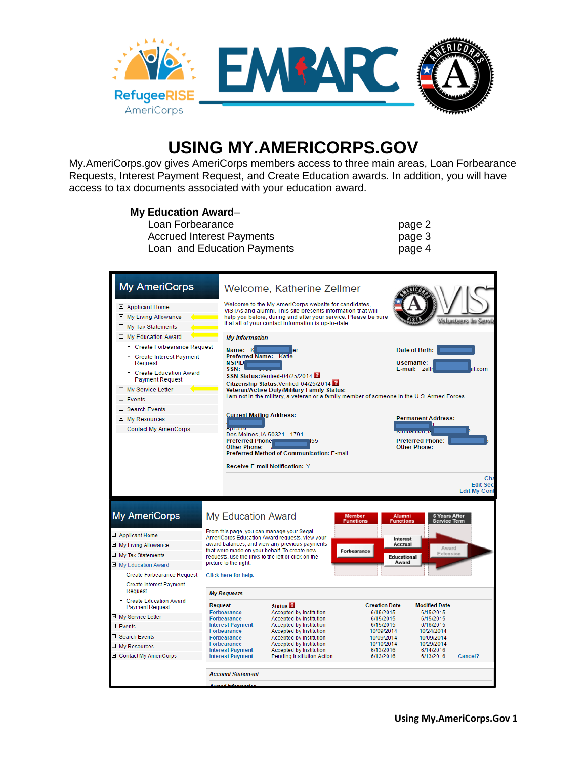

# **USING MY.AMERICORPS.GOV**

My.AmeriCorps.gov gives AmeriCorps members access to three main areas, Loan Forbearance Requests, Interest Payment Request, and Create Education awards. In addition, you will have access to tax documents associated with your education award.

#### **My Education Award**–

| Loan Forbearance                 | page 2 |
|----------------------------------|--------|
| <b>Accrued Interest Payments</b> | page 3 |
| Loan and Education Payments      | page 4 |
|                                  |        |

| <b>My AmeriCorps</b>                               |                                                                              | Welcome, Katherine Zellmer                                                                                            |                                      |                                      |
|----------------------------------------------------|------------------------------------------------------------------------------|-----------------------------------------------------------------------------------------------------------------------|--------------------------------------|--------------------------------------|
|                                                    |                                                                              |                                                                                                                       |                                      |                                      |
| 田 Applicant Home                                   |                                                                              | Welcome to the My AmeriCorps website for candidates,<br>VISTAs and alumni. This site presents information that will   |                                      |                                      |
| 田 My Living Allowance                              |                                                                              | help you before, during and after your service. Please be sure<br>that all of your contact information is up-to-date. |                                      |                                      |
| 田 My Tax Statements                                |                                                                              |                                                                                                                       |                                      |                                      |
| 田 My Education Award                               | <b>My Information</b>                                                        |                                                                                                                       |                                      |                                      |
| + Create Forbearance Request                       | Name: K                                                                      | er                                                                                                                    |                                      | Date of Birth:                       |
| + Create Interest Payment<br>Request               | <b>Preferred Name: Katie</b><br><b>NSPID</b><br>SSN:                         |                                                                                                                       |                                      | Username:<br>E-mail: zellr<br>il.com |
| + Create Education Award<br><b>Payment Request</b> |                                                                              | SSN Status: Verified-04/25/2014<br>Citizenship Status: Verified-04/25/2014                                            |                                      |                                      |
| 田 My Service Letter                                |                                                                              | <b>Veteran/Active Duty/Military Family Status:</b>                                                                    |                                      |                                      |
| 田 Events                                           |                                                                              | I am not in the military, a veteran or a family member of someone in the U.S. Armed Forces                            |                                      |                                      |
| 田 Search Events                                    | <b>Current Mailing Address:</b>                                              |                                                                                                                       |                                      |                                      |
| 田 My Resources                                     |                                                                              |                                                                                                                       |                                      | <b>Permanent Address:</b>            |
| 田 Contact My AmeriCorps                            | <b>AUTORITICS</b>                                                            | Des Moines, IA 50321 - 1791                                                                                           |                                      |                                      |
|                                                    | <b>Preferred Phone</b>                                                       | 155                                                                                                                   |                                      | <b>Preferred Phone:</b>              |
|                                                    | <b>Other Phone:</b>                                                          | <b>Preferred Method of Communication: E-mail</b>                                                                      |                                      | <b>Other Phone:</b>                  |
|                                                    |                                                                              | <b>Receive E-mail Notification: Y</b>                                                                                 |                                      |                                      |
|                                                    |                                                                              |                                                                                                                       |                                      |                                      |
|                                                    |                                                                              |                                                                                                                       |                                      |                                      |
|                                                    |                                                                              |                                                                                                                       |                                      | Cha<br><b>Edit Sec</b>               |
|                                                    |                                                                              |                                                                                                                       |                                      | <b>Edit My Cont</b>                  |
|                                                    |                                                                              |                                                                                                                       |                                      |                                      |
| <b>My AmeriCorps</b>                               | <b>My Education Award</b>                                                    |                                                                                                                       | <b>Member</b><br><b>Alumni</b>       | <b>6 Years After</b>                 |
|                                                    | From this page, you can manage your Segal                                    |                                                                                                                       | <b>Functions</b><br><b>Functions</b> | <b>Service Term</b>                  |
| 田 Applicant Home                                   |                                                                              | AmeriCorps Education Award requests, view your                                                                        | Interest                             |                                      |
| 田 My Living Allowance                              | that were made on your behalf. To create new                                 | award balances, and view any previous payments                                                                        | Accrual<br>Forbearance               | Award<br>Extension                   |
| 田 My Tax Statements                                | requests, use the links to the left or click on the<br>picture to the right. |                                                                                                                       | <b>Educational</b><br>Award          |                                      |
| □ My Education Award                               |                                                                              |                                                                                                                       |                                      |                                      |
| + Create Forbearance Request                       | Click here for help.                                                         |                                                                                                                       |                                      |                                      |
| + Create Interest Payment<br>Request               | <b>My Requests</b>                                                           |                                                                                                                       |                                      |                                      |
| + Create Education Award<br><b>Payment Request</b> | <b>Request</b>                                                               | Status <sup>1</sup>                                                                                                   | <b>Creation Date</b>                 | <b>Modified Date</b>                 |
| 田 My Service Letter                                | <b>Forbearance</b><br><b>Forbearance</b>                                     | Accepted by Institution                                                                                               | 6/15/2015<br>6/15/2015               | 6/15/2015<br>6/15/2015               |
| 田 Events                                           | <b>Interest Payment</b>                                                      | <b>Accepted by Institution</b><br><b>Accepted by Institution</b>                                                      | 6/15/2015                            | 6/16/2015                            |
| 田 Search Events                                    | <b>Forbearance</b><br>Forbearance                                            | <b>Accepted by Institution</b><br>Accepted by Institution                                                             | 10/09/2014<br>10/09/2014             | 10/24/2014<br>10/09/2014             |
| 田 Mv Resources                                     | <b>Forbearance</b>                                                           | <b>Accepted by Institution</b>                                                                                        | 10/10/2014                           | 10/29/2014                           |
| 田 Contact My AmeriCorps                            | <b>Interest Payment</b><br><b>Interest Payment</b>                           | Accepted by Institution<br><b>Pending Institution Action</b>                                                          | 6/13/2016<br>6/13/2016               | 6/14/2016<br>6/13/2016<br>Cancel?    |
|                                                    |                                                                              |                                                                                                                       |                                      |                                      |
|                                                    | <b>Account Statement</b>                                                     |                                                                                                                       |                                      |                                      |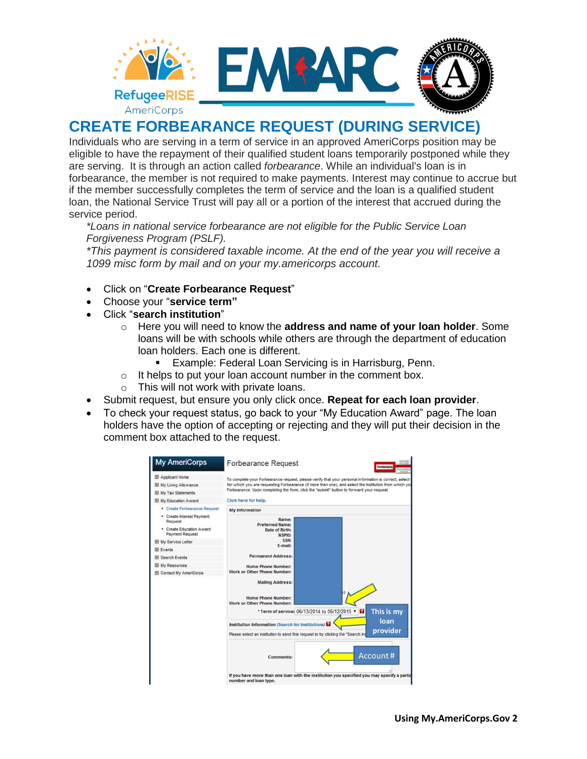

#### **CREATE FORBEARANCE REQUEST (DURING SERVICE)**

Individuals who are serving in a term of service in an approved AmeriCorps position may be eligible to have the repayment of their qualified student loans temporarily postponed while they are serving. It is through an action called *forbearance*. While an individual's loan is in forbearance, the member is not required to make payments. Interest may continue to accrue but if the member successfully completes the term of service and the loan is a qualified student loan, the National Service Trust will pay all or a portion of the interest that accrued during the service period.

*\*Loans in national service forbearance are not eligible for the Public Service Loan Forgiveness Program (PSLF).* 

*\*This payment is considered taxable income. At the end of the year you will receive a 1099 misc form by mail and on your my.americorps account.* 

- Click on "**Create Forbearance Request**"
- Choose your "**service term"**
- Click "**search institution**"
	- o Here you will need to know the **address and name of your loan holder**. Some loans will be with schools while others are through the department of education loan holders. Each one is different.
		- Example: Federal Loan Servicing is in Harrisburg, Penn.
	- $\circ$  It helps to put your loan account number in the comment box.
	- o This will not work with private loans.
- Submit request, but ensure you only click once. **Repeat for each loan provider**.
- To check your request status, go back to your "My Education Award" page. The loan holders have the option of accepting or rejecting and they will put their decision in the comment box attached to the request.

| <b>My AmeriCorps</b>                               | <b>Forbearance Request</b><br>Forbearance                                                                                |  |  |
|----------------------------------------------------|--------------------------------------------------------------------------------------------------------------------------|--|--|
| El Applicant Home                                  | To complete your Forbearance request, please verify that your personal information is correct, select                    |  |  |
| El My Living Allowance                             | for which you are requesting Forbearance (if more then one), and select the institution from which you                   |  |  |
| <b>El My Tax Statements</b>                        | Forbearance. Upon completing the form, click the "submit" button to forward your request.                                |  |  |
| El My Education Award                              | Click here for help.                                                                                                     |  |  |
| + Create Forbearance Request                       | <b>My Information</b>                                                                                                    |  |  |
| + Create Interest Payment<br>Request               | Name:<br><b>Preferred Name:</b>                                                                                          |  |  |
| + Create Education Award<br><b>Payment Request</b> | Date of Birth:<br><b>NSPID:</b>                                                                                          |  |  |
| <b>El My Service Letter</b>                        | SSN:                                                                                                                     |  |  |
| <b>E</b> Events                                    | E-mail:                                                                                                                  |  |  |
| El Search Events                                   | <b>Permanent Address:</b>                                                                                                |  |  |
| El My Resources                                    | Home Phone Number:                                                                                                       |  |  |
| <b>El Contact My AmeriCorps</b>                    | <b>Work or Other Phone Number:</b>                                                                                       |  |  |
|                                                    | <b>Mailing Address:</b>                                                                                                  |  |  |
|                                                    | <b>Home Phone Number:</b>                                                                                                |  |  |
|                                                    | Work or Other Phone Number:                                                                                              |  |  |
|                                                    | This is my<br>* Term of service: 06/13/2014 to 06/12/2015 *<br>loan<br>Institution Information (Search for Institutions) |  |  |
|                                                    |                                                                                                                          |  |  |
|                                                    | provider<br>Please select an institution to send this request to by clicking the "Search Ins                             |  |  |
|                                                    | Account#<br>Comments:                                                                                                    |  |  |
|                                                    | If you have more than one loan with the institution you specified you may specify a partid<br>number and loan type.      |  |  |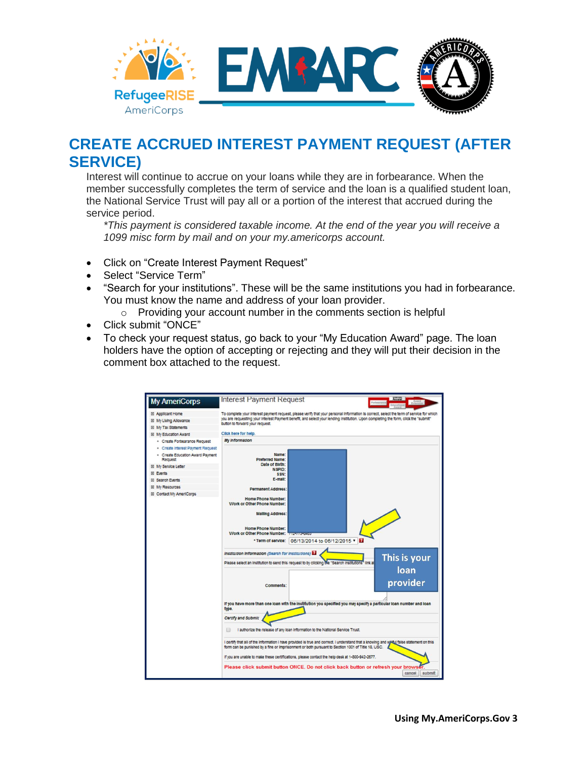

### **CREATE ACCRUED INTEREST PAYMENT REQUEST (AFTER SERVICE)**

Interest will continue to accrue on your loans while they are in forbearance. When the member successfully completes the term of service and the loan is a qualified student loan, the National Service Trust will pay all or a portion of the interest that accrued during the service period.

*\*This payment is considered taxable income. At the end of the year you will receive a 1099 misc form by mail and on your my.americorps account.* 

- Click on "Create Interest Payment Request"
- Select "Service Term"
- "Search for your institutions". These will be the same institutions you had in forbearance. You must know the name and address of your loan provider.
	- o Providing your account number in the comments section is helpful
- Click submit "ONCE"
- To check your request status, go back to your "My Education Award" page. The loan holders have the option of accepting or rejecting and they will put their decision in the comment box attached to the request.

| <b>My AmeriCorps</b>                               | <b>Interest Payment Request</b>                                                                                                                                                                                                                                                                                    |  |  |  |
|----------------------------------------------------|--------------------------------------------------------------------------------------------------------------------------------------------------------------------------------------------------------------------------------------------------------------------------------------------------------------------|--|--|--|
| El Applicant Home                                  | To complete your interest payment request, please verify that your personal information is correct, select the term of service for which<br>you are requesting your interest Payment benefit, and select your lending institution. Upon completing the form, click the "submit"<br>button to forward your request. |  |  |  |
| El My LMing Allowance                              |                                                                                                                                                                                                                                                                                                                    |  |  |  |
| El My Tax Statements                               |                                                                                                                                                                                                                                                                                                                    |  |  |  |
| <b>EE My Education Award</b>                       | Click here for help.                                                                                                                                                                                                                                                                                               |  |  |  |
| · Create Forbearance Request                       | My Information                                                                                                                                                                                                                                                                                                     |  |  |  |
| · Create Interest Payment Request                  |                                                                                                                                                                                                                                                                                                                    |  |  |  |
| · Create Education Award Payment<br><b>Request</b> | Name:<br><b>Preferred Name:</b>                                                                                                                                                                                                                                                                                    |  |  |  |
| El My Service Letter                               | Date of Birth:<br>NSPID:                                                                                                                                                                                                                                                                                           |  |  |  |
| <b>El Events</b>                                   | SSN:                                                                                                                                                                                                                                                                                                               |  |  |  |
| <b>El Search Events</b>                            | E-mail:                                                                                                                                                                                                                                                                                                            |  |  |  |
| El My Resources                                    | <b>Permanent Address:</b>                                                                                                                                                                                                                                                                                          |  |  |  |
| El Contact My AmeriCorps                           |                                                                                                                                                                                                                                                                                                                    |  |  |  |
|                                                    | Home Phone Number:<br>Work or Other Phone Number:<br><b>Malling Address:</b><br>Home Phone Number:<br>Work or Other Phone Number:<br><b>ITUZEN</b> CONTRA<br>06/13/2014 to 06/12/2015 *<br>* Term of service:                                                                                                      |  |  |  |
|                                                    | Institution Information (Search for Institutions)<br>This is your<br>Please select an institution to send this request to by clicking the "Search institutions" link a                                                                                                                                             |  |  |  |
|                                                    | loan<br>provider<br>Comments:<br>If you have more than one loan with the institution you specified you may specify a particular loan number and loan<br>type.                                                                                                                                                      |  |  |  |
|                                                    | Certify and Submit<br>I authorize the release of any loan information to the National Service Trust.<br>I certify that all of the information I have provided is true and correct. I understand that a knowing and will talse statement on this                                                                    |  |  |  |
|                                                    | form can be punished by a fine or imprisonment or both pursuant to Section 1001 of Title 18, USC.<br>If you are unable to make these certifications, please contact the help desk at 1-800-942-2677.<br>Please click submit button ONCE. Do not click back button or refresh your browser<br>submit<br>cancel      |  |  |  |